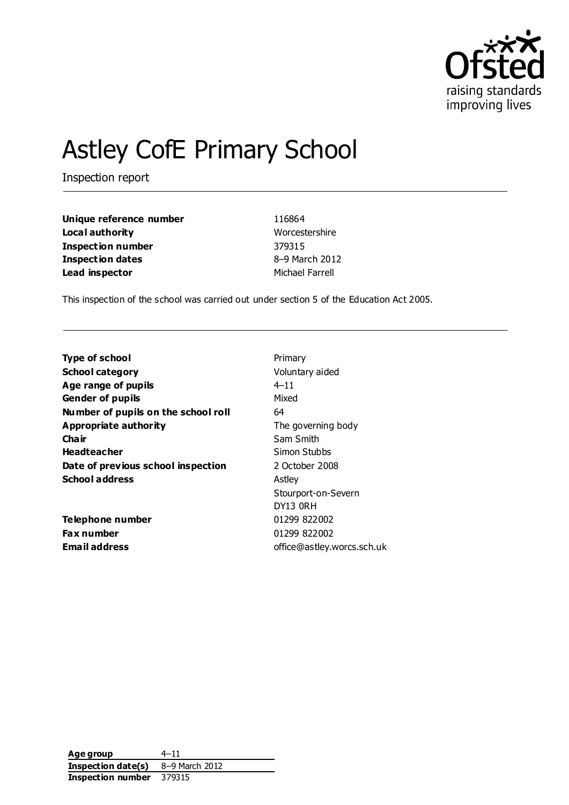

# Astley CofE Primary School

Inspection report

| Unique reference number | 116864          |  |
|-------------------------|-----------------|--|
| Local authority         | Worcestershire  |  |
| Inspection number       | 379315          |  |
| Inspection dates        | 8-9 March 2012  |  |
| Lead inspector          | Michael Farrell |  |

This inspection of the school was carried out under section 5 of the Education Act 2005.

| Primary                    |
|----------------------------|
| Voluntary aided            |
| $4 - 11$                   |
| Mixed                      |
| 64                         |
| The governing body         |
| Sam Smith                  |
| Simon Stubbs               |
| 2 October 2008             |
| Astley                     |
| Stourport-on-Severn        |
| DY13 ORH                   |
| 01299 822002               |
| 01299 822002               |
| office@astley.worcs.sch.uk |
|                            |

**Age group** 4–11 **Inspection date(s)** 8–9 March 2012 **Inspection number** 379315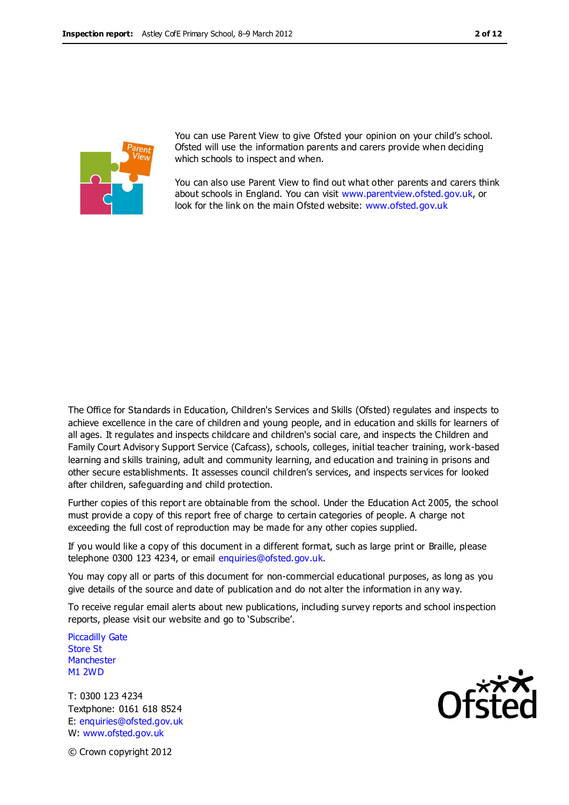

You can use Parent View to give Ofsted your opinion on your child's school. Ofsted will use the information parents and carers provide when deciding which schools to inspect and when.

You can also use Parent View to find out what other parents and carers think about schools in England. You can visit [www.parentview.ofsted.gov.uk,](http://www.parentview.ofsted.gov.uk/) or look for the link on the main Ofsted website: [www.ofsted.gov.uk](http://www.ofsted.gov.uk/)

The Office for Standards in Education, Children's Services and Skills (Ofsted) regulates and inspects to achieve excellence in the care of children and young people, and in education and skills for learners of all ages. It regulates and inspects childcare and children's social care, and inspects the Children and Family Court Advisory Support Service (Cafcass), schools, colleges, initial teacher training, work-based learning and skills training, adult and community learning, and education and training in prisons and other secure establishments. It assesses council children's services, and inspects services for looked after children, safeguarding and child protection.

Further copies of this report are obtainable from the school. Under the Education Act 2005, the school must provide a copy of this report free of charge to certain categories of people. A charge not exceeding the full cost of reproduction may be made for any other copies supplied.

If you would like a copy of this document in a different format, such as large print or Braille, please telephone 0300 123 4234, or email enquiries@ofsted.gov.uk.

You may copy all or parts of this document for non-commercial educational purposes, as long as you give details of the source and date of publication and do not alter the information in any way.

To receive regular email alerts about new publications, including survey reports and school inspection reports, please visit our website and go to 'Subscribe'.

Piccadilly Gate Store St **Manchester** M1 2WD

T: 0300 123 4234 Textphone: 0161 618 8524 E: enquiries@ofsted.gov.uk W: www.ofsted.gov.uk



© Crown copyright 2012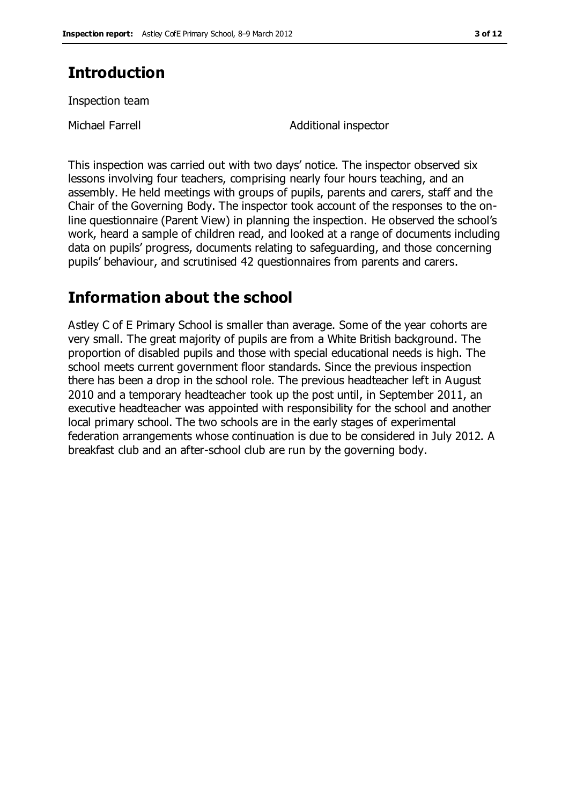# **Introduction**

Inspection team

Michael Farrell **Additional inspector** 

This inspection was carried out with two days' notice. The inspector observed six lessons involving four teachers, comprising nearly four hours teaching, and an assembly. He held meetings with groups of pupils, parents and carers, staff and the Chair of the Governing Body. The inspector took account of the responses to the online questionnaire (Parent View) in planning the inspection. He observed the school's work, heard a sample of children read, and looked at a range of documents including data on pupils' progress, documents relating to safeguarding, and those concerning pupils' behaviour, and scrutinised 42 questionnaires from parents and carers.

# **Information about the school**

Astley C of E Primary School is smaller than average. Some of the year cohorts are very small. The great majority of pupils are from a White British background. The proportion of disabled pupils and those with special educational needs is high. The school meets current government floor standards. Since the previous inspection there has been a drop in the school role. The previous headteacher left in August 2010 and a temporary headteacher took up the post until, in September 2011, an executive headteacher was appointed with responsibility for the school and another local primary school. The two schools are in the early stages of experimental federation arrangements whose continuation is due to be considered in July 2012. A breakfast club and an after-school club are run by the governing body.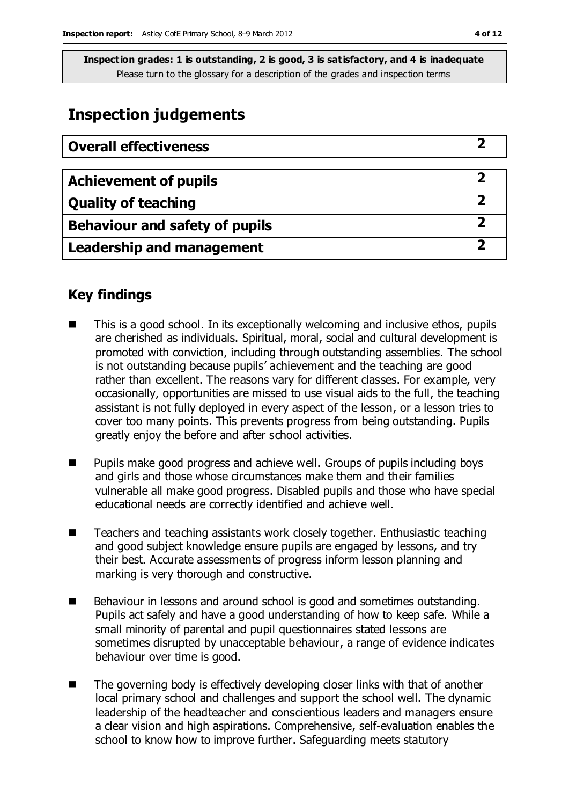# **Inspection judgements**

| <b>Overall effectiveness</b>          |  |
|---------------------------------------|--|
|                                       |  |
| <b>Achievement of pupils</b>          |  |
| <b>Quality of teaching</b>            |  |
| <b>Behaviour and safety of pupils</b> |  |
| <b>Leadership and management</b>      |  |

## **Key findings**

- This is a good school. In its exceptionally welcoming and inclusive ethos, pupils are cherished as individuals. Spiritual, moral, social and cultural development is promoted with conviction, including through outstanding assemblies. The school is not outstanding because pupils' achievement and the teaching are good rather than excellent. The reasons vary for different classes. For example, very occasionally, opportunities are missed to use visual aids to the full, the teaching assistant is not fully deployed in every aspect of the lesson, or a lesson tries to cover too many points. This prevents progress from being outstanding. Pupils greatly enjoy the before and after school activities.
- Pupils make good progress and achieve well. Groups of pupils including boys and girls and those whose circumstances make them and their families vulnerable all make good progress. Disabled pupils and those who have special educational needs are correctly identified and achieve well.
- Teachers and teaching assistants work closely together. Enthusiastic teaching and good subject knowledge ensure pupils are engaged by lessons, and try their best. Accurate assessments of progress inform lesson planning and marking is very thorough and constructive.
- Behaviour in lessons and around school is good and sometimes outstanding. Pupils act safely and have a good understanding of how to keep safe. While a small minority of parental and pupil questionnaires stated lessons are sometimes disrupted by unacceptable behaviour, a range of evidence indicates behaviour over time is good.
- The governing body is effectively developing closer links with that of another local primary school and challenges and support the school well. The dynamic leadership of the headteacher and conscientious leaders and managers ensure a clear vision and high aspirations. Comprehensive, self-evaluation enables the school to know how to improve further. Safeguarding meets statutory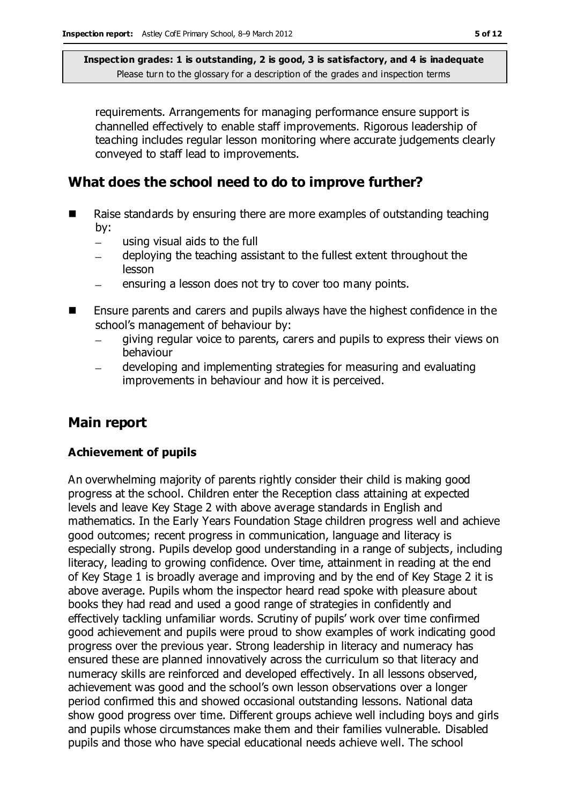requirements. Arrangements for managing performance ensure support is channelled effectively to enable staff improvements. Rigorous leadership of teaching includes regular lesson monitoring where accurate judgements clearly conveyed to staff lead to improvements.

## **What does the school need to do to improve further?**

- Raise standards by ensuring there are more examples of outstanding teaching by:
	- using visual aids to the full  $\equiv$
	- deploying the teaching assistant to the fullest extent throughout the lesson
	- ensuring a lesson does not try to cover too many points.  $\equiv$
- Ensure parents and carers and pupils always have the highest confidence in the school's management of behaviour by:
	- giving regular voice to parents, carers and pupils to express their views on  $\equiv$ behaviour
	- developing and implementing strategies for measuring and evaluating improvements in behaviour and how it is perceived.

## **Main report**

#### **Achievement of pupils**

An overwhelming majority of parents rightly consider their child is making good progress at the school. Children enter the Reception class attaining at expected levels and leave Key Stage 2 with above average standards in English and mathematics. In the Early Years Foundation Stage children progress well and achieve good outcomes; recent progress in communication, language and literacy is especially strong. Pupils develop good understanding in a range of subjects, including literacy, leading to growing confidence. Over time, attainment in reading at the end of Key Stage 1 is broadly average and improving and by the end of Key Stage 2 it is above average. Pupils whom the inspector heard read spoke with pleasure about books they had read and used a good range of strategies in confidently and effectively tackling unfamiliar words. Scrutiny of pupils' work over time confirmed good achievement and pupils were proud to show examples of work indicating good progress over the previous year. Strong leadership in literacy and numeracy has ensured these are planned innovatively across the curriculum so that literacy and numeracy skills are reinforced and developed effectively. In all lessons observed, achievement was good and the school's own lesson observations over a longer period confirmed this and showed occasional outstanding lessons. National data show good progress over time. Different groups achieve well including boys and girls and pupils whose circumstances make them and their families vulnerable. Disabled pupils and those who have special educational needs achieve well. The school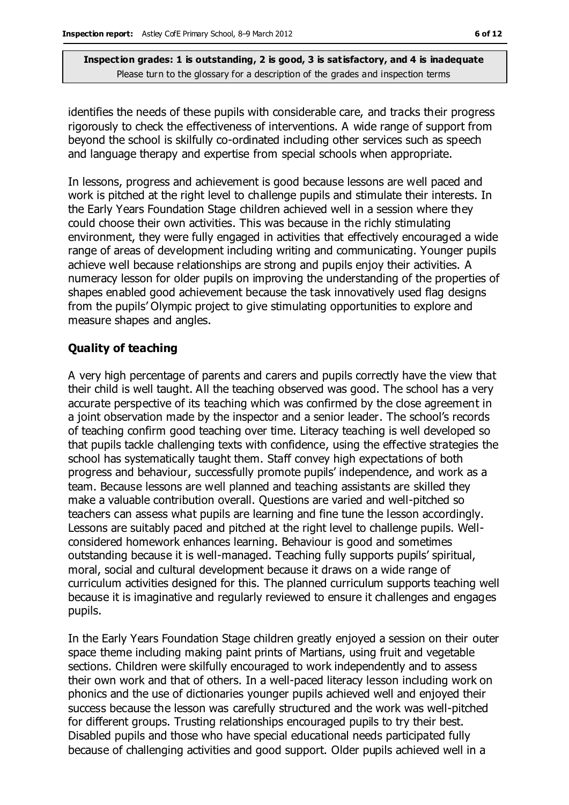identifies the needs of these pupils with considerable care, and tracks their progress rigorously to check the effectiveness of interventions. A wide range of support from beyond the school is skilfully co-ordinated including other services such as speech and language therapy and expertise from special schools when appropriate.

In lessons, progress and achievement is good because lessons are well paced and work is pitched at the right level to challenge pupils and stimulate their interests. In the Early Years Foundation Stage children achieved well in a session where they could choose their own activities. This was because in the richly stimulating environment, they were fully engaged in activities that effectively encouraged a wide range of areas of development including writing and communicating. Younger pupils achieve well because relationships are strong and pupils enjoy their activities. A numeracy lesson for older pupils on improving the understanding of the properties of shapes enabled good achievement because the task innovatively used flag designs from the pupils' Olympic project to give stimulating opportunities to explore and measure shapes and angles.

#### **Quality of teaching**

A very high percentage of parents and carers and pupils correctly have the view that their child is well taught. All the teaching observed was good. The school has a very accurate perspective of its teaching which was confirmed by the close agreement in a joint observation made by the inspector and a senior leader. The school's records of teaching confirm good teaching over time. Literacy teaching is well developed so that pupils tackle challenging texts with confidence, using the effective strategies the school has systematically taught them. Staff convey high expectations of both progress and behaviour, successfully promote pupils' independence, and work as a team. Because lessons are well planned and teaching assistants are skilled they make a valuable contribution overall. Questions are varied and well-pitched so teachers can assess what pupils are learning and fine tune the lesson accordingly. Lessons are suitably paced and pitched at the right level to challenge pupils. Wellconsidered homework enhances learning. Behaviour is good and sometimes outstanding because it is well-managed. Teaching fully supports pupils' spiritual, moral, social and cultural development because it draws on a wide range of curriculum activities designed for this. The planned curriculum supports teaching well because it is imaginative and regularly reviewed to ensure it challenges and engages pupils.

In the Early Years Foundation Stage children greatly enjoyed a session on their outer space theme including making paint prints of Martians, using fruit and vegetable sections. Children were skilfully encouraged to work independently and to assess their own work and that of others. In a well-paced literacy lesson including work on phonics and the use of dictionaries younger pupils achieved well and enjoyed their success because the lesson was carefully structured and the work was well-pitched for different groups. Trusting relationships encouraged pupils to try their best. Disabled pupils and those who have special educational needs participated fully because of challenging activities and good support. Older pupils achieved well in a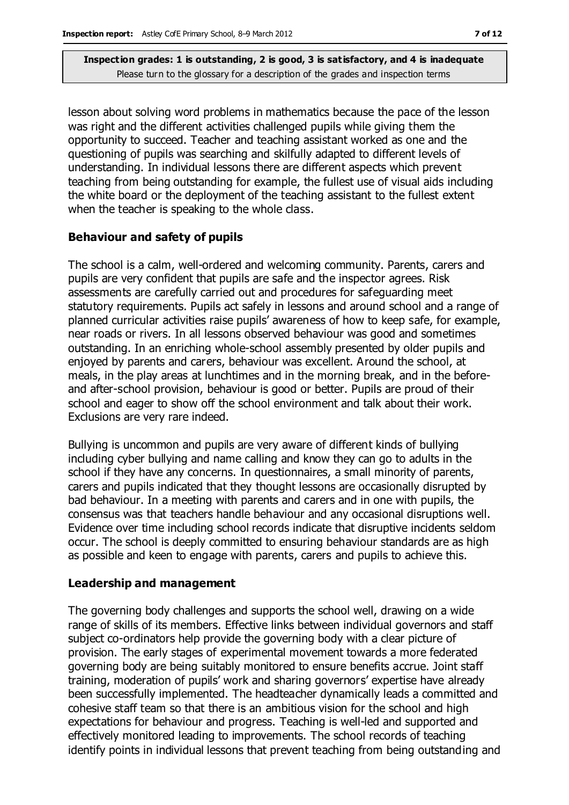lesson about solving word problems in mathematics because the pace of the lesson was right and the different activities challenged pupils while giving them the opportunity to succeed. Teacher and teaching assistant worked as one and the questioning of pupils was searching and skilfully adapted to different levels of understanding. In individual lessons there are different aspects which prevent teaching from being outstanding for example, the fullest use of visual aids including the white board or the deployment of the teaching assistant to the fullest extent when the teacher is speaking to the whole class.

#### **Behaviour and safety of pupils**

The school is a calm, well-ordered and welcoming community. Parents, carers and pupils are very confident that pupils are safe and the inspector agrees. Risk assessments are carefully carried out and procedures for safeguarding meet statutory requirements. Pupils act safely in lessons and around school and a range of planned curricular activities raise pupils' awareness of how to keep safe, for example, near roads or rivers. In all lessons observed behaviour was good and sometimes outstanding. In an enriching whole-school assembly presented by older pupils and enjoyed by parents and carers, behaviour was excellent. Around the school, at meals, in the play areas at lunchtimes and in the morning break, and in the beforeand after-school provision, behaviour is good or better. Pupils are proud of their school and eager to show off the school environment and talk about their work. Exclusions are very rare indeed.

Bullying is uncommon and pupils are very aware of different kinds of bullying including cyber bullying and name calling and know they can go to adults in the school if they have any concerns. In questionnaires, a small minority of parents, carers and pupils indicated that they thought lessons are occasionally disrupted by bad behaviour. In a meeting with parents and carers and in one with pupils, the consensus was that teachers handle behaviour and any occasional disruptions well. Evidence over time including school records indicate that disruptive incidents seldom occur. The school is deeply committed to ensuring behaviour standards are as high as possible and keen to engage with parents, carers and pupils to achieve this.

#### **Leadership and management**

The governing body challenges and supports the school well, drawing on a wide range of skills of its members. Effective links between individual governors and staff subject co-ordinators help provide the governing body with a clear picture of provision. The early stages of experimental movement towards a more federated governing body are being suitably monitored to ensure benefits accrue. Joint staff training, moderation of pupils' work and sharing governors' expertise have already been successfully implemented. The headteacher dynamically leads a committed and cohesive staff team so that there is an ambitious vision for the school and high expectations for behaviour and progress. Teaching is well-led and supported and effectively monitored leading to improvements. The school records of teaching identify points in individual lessons that prevent teaching from being outstanding and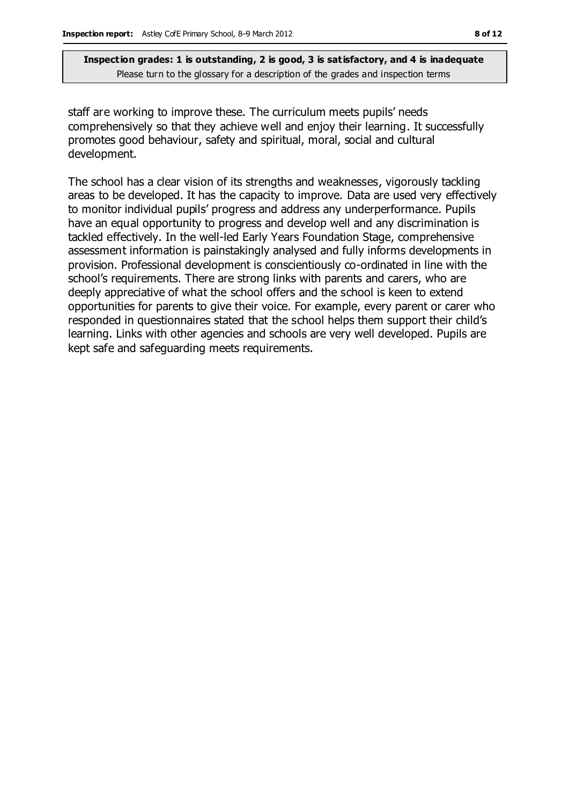staff are working to improve these. The curriculum meets pupils' needs comprehensively so that they achieve well and enjoy their learning. It successfully promotes good behaviour, safety and spiritual, moral, social and cultural development.

The school has a clear vision of its strengths and weaknesses, vigorously tackling areas to be developed. It has the capacity to improve. Data are used very effectively to monitor individual pupils' progress and address any underperformance. Pupils have an equal opportunity to progress and develop well and any discrimination is tackled effectively. In the well-led Early Years Foundation Stage, comprehensive assessment information is painstakingly analysed and fully informs developments in provision. Professional development is conscientiously co-ordinated in line with the school's requirements. There are strong links with parents and carers, who are deeply appreciative of what the school offers and the school is keen to extend opportunities for parents to give their voice. For example, every parent or carer who responded in questionnaires stated that the school helps them support their child's learning. Links with other agencies and schools are very well developed. Pupils are kept safe and safeguarding meets requirements.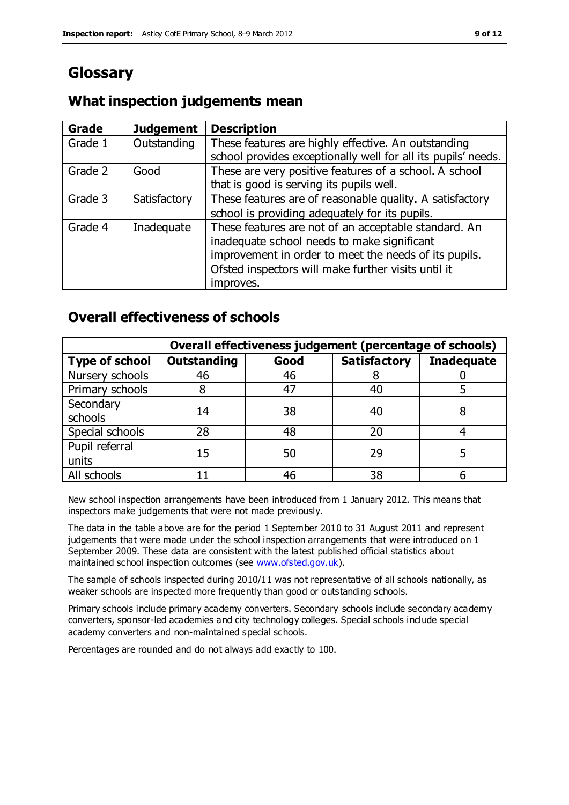# **Glossary**

## **What inspection judgements mean**

| Grade   | <b>Judgement</b> | <b>Description</b>                                                                                                                                                                                                               |
|---------|------------------|----------------------------------------------------------------------------------------------------------------------------------------------------------------------------------------------------------------------------------|
| Grade 1 | Outstanding      | These features are highly effective. An outstanding<br>school provides exceptionally well for all its pupils' needs.                                                                                                             |
| Grade 2 | Good             | These are very positive features of a school. A school<br>that is good is serving its pupils well.                                                                                                                               |
| Grade 3 | Satisfactory     | These features are of reasonable quality. A satisfactory<br>school is providing adequately for its pupils.                                                                                                                       |
| Grade 4 | Inadequate       | These features are not of an acceptable standard. An<br>inadequate school needs to make significant<br>improvement in order to meet the needs of its pupils.<br>Ofsted inspectors will make further visits until it<br>improves. |

## **Overall effectiveness of schools**

|                         | Overall effectiveness judgement (percentage of schools) |      |                     |                   |
|-------------------------|---------------------------------------------------------|------|---------------------|-------------------|
| <b>Type of school</b>   | <b>Outstanding</b>                                      | Good | <b>Satisfactory</b> | <b>Inadequate</b> |
| Nursery schools         | 46                                                      | 46   |                     |                   |
| Primary schools         |                                                         | 47   | 40                  |                   |
| Secondary<br>schools    | 14                                                      | 38   | 40                  |                   |
| Special schools         | 28                                                      | 48   | 20                  |                   |
| Pupil referral<br>units | 15                                                      | 50   | 29                  |                   |
| All schools             |                                                         | 46   | 38                  |                   |

New school inspection arrangements have been introduced from 1 January 2012. This means that inspectors make judgements that were not made previously.

The data in the table above are for the period 1 September 2010 to 31 August 2011 and represent judgements that were made under the school inspection arrangements that were introduced on 1 September 2009. These data are consistent with the latest published official statistics about maintained school inspection outcomes (see [www.ofsted.gov.uk\)](http://www.ofsted.gov.uk/).

The sample of schools inspected during 2010/11 was not representative of all schools nationally, as weaker schools are inspected more frequently than good or outstanding schools.

Primary schools include primary academy converters. Secondary schools include secondary academy converters, sponsor-led academies and city technology colleges. Special schools include special academy converters and non-maintained special schools.

Percentages are rounded and do not always add exactly to 100.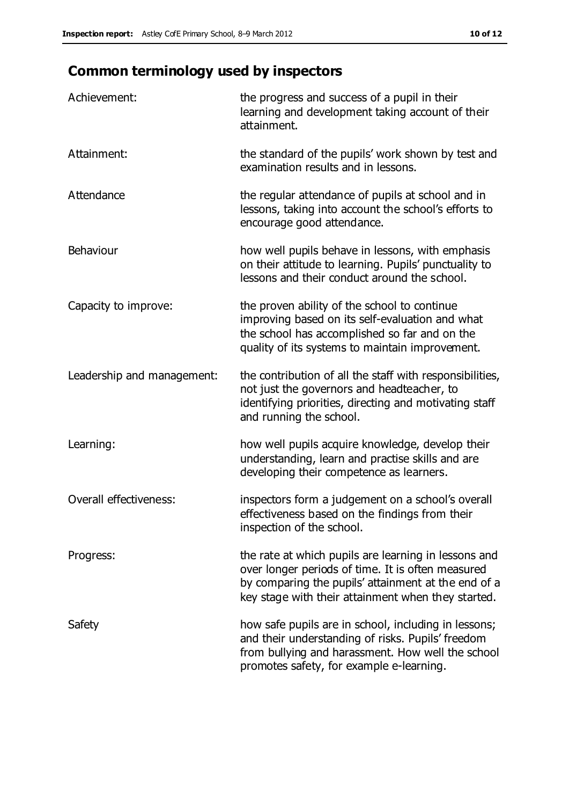# **Common terminology used by inspectors**

| Achievement:               | the progress and success of a pupil in their<br>learning and development taking account of their<br>attainment.                                                                                                        |
|----------------------------|------------------------------------------------------------------------------------------------------------------------------------------------------------------------------------------------------------------------|
| Attainment:                | the standard of the pupils' work shown by test and<br>examination results and in lessons.                                                                                                                              |
| Attendance                 | the regular attendance of pupils at school and in<br>lessons, taking into account the school's efforts to<br>encourage good attendance.                                                                                |
| Behaviour                  | how well pupils behave in lessons, with emphasis<br>on their attitude to learning. Pupils' punctuality to<br>lessons and their conduct around the school.                                                              |
| Capacity to improve:       | the proven ability of the school to continue<br>improving based on its self-evaluation and what<br>the school has accomplished so far and on the<br>quality of its systems to maintain improvement.                    |
| Leadership and management: | the contribution of all the staff with responsibilities,<br>not just the governors and headteacher, to<br>identifying priorities, directing and motivating staff<br>and running the school.                            |
| Learning:                  | how well pupils acquire knowledge, develop their<br>understanding, learn and practise skills and are<br>developing their competence as learners.                                                                       |
| Overall effectiveness:     | inspectors form a judgement on a school's overall<br>effectiveness based on the findings from their<br>inspection of the school.                                                                                       |
| Progress:                  | the rate at which pupils are learning in lessons and<br>over longer periods of time. It is often measured<br>by comparing the pupils' attainment at the end of a<br>key stage with their attainment when they started. |
| Safety                     | how safe pupils are in school, including in lessons;<br>and their understanding of risks. Pupils' freedom<br>from bullying and harassment. How well the school<br>promotes safety, for example e-learning.             |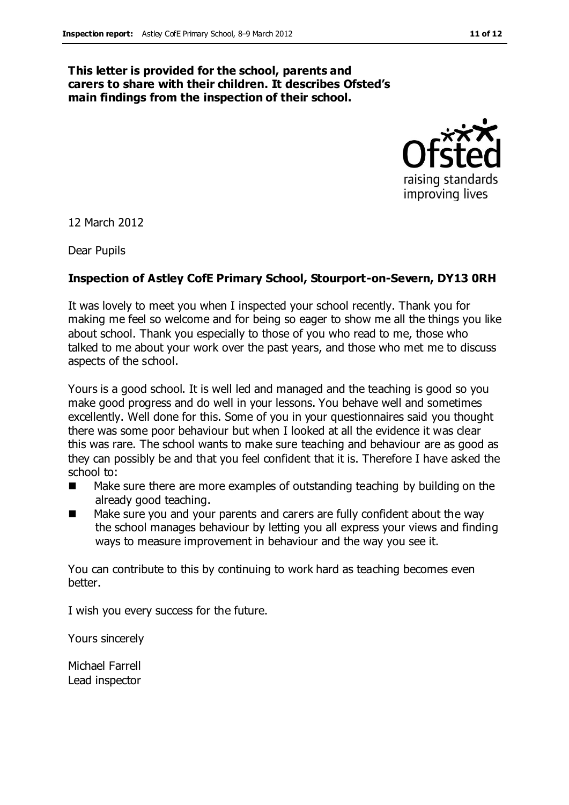#### **This letter is provided for the school, parents and carers to share with their children. It describes Ofsted's main findings from the inspection of their school.**



12 March 2012

Dear Pupils

#### **Inspection of Astley CofE Primary School, Stourport-on-Severn, DY13 0RH**

It was lovely to meet you when I inspected your school recently. Thank you for making me feel so welcome and for being so eager to show me all the things you like about school. Thank you especially to those of you who read to me, those who talked to me about your work over the past years, and those who met me to discuss aspects of the school.

Yours is a good school. It is well led and managed and the teaching is good so you make good progress and do well in your lessons. You behave well and sometimes excellently. Well done for this. Some of you in your questionnaires said you thought there was some poor behaviour but when I looked at all the evidence it was clear this was rare. The school wants to make sure teaching and behaviour are as good as they can possibly be and that you feel confident that it is. Therefore I have asked the school to:

- Make sure there are more examples of outstanding teaching by building on the already good teaching.
- Make sure you and your parents and carers are fully confident about the way the school manages behaviour by letting you all express your views and finding ways to measure improvement in behaviour and the way you see it.

You can contribute to this by continuing to work hard as teaching becomes even better.

I wish you every success for the future.

Yours sincerely

Michael Farrell Lead inspector